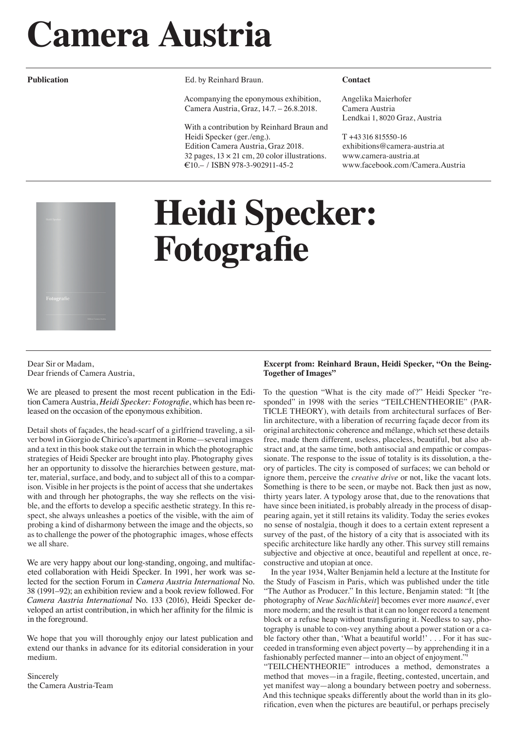# **Camera Austria**

**Publication** 

Ed. by Reinhard Braun.

Acompanying the eponymous exhibition, Camera Austria, Graz, 14.7. – 26.8.2018.

With a contribution by Reinhard Braun and Heidi Specker (ger./eng.). Edition Camera Austria, Graz 2018. 32 pages,  $13 \times 21$  cm,  $20$  color illustrations. €10.– / ISBN 978-3-902911-45-2

#### **Contact**

Angelika Maierhofer Camera Austria Lendkai 1, 8020 Graz, Austria

T +43 316 815550-16 exhibitions@camera-austria.at www.camera-austria.at www.facebook.com/Camera.Austria



## **Heidi Specker: Fotografie**

Dear Sir or Madam, Dear friends of Camera Austria,

We are pleased to present the most recent publication in the Edition Camera Austria, *Heidi Specker: Fotografie*, which has been released on the occasion of the eponymous exhibition.

Detail shots of façades, the head-scarf of a girlfriend traveling, a silver bowl in Giorgio de Chirico's apartment in Rome—several images and a text in this book stake out the terrain in which the photographic strategies of Heidi Specker are brought into play. Photography gives her an opportunity to dissolve the hierarchies between gesture, matter, material, surface, and body, and to subject all of this to a comparison. Visible in her projects is the point of access that she undertakes with and through her photographs, the way she reflects on the visible, and the efforts to develop a specific aesthetic strategy. In this respect, she always unleashes a poetics of the visible, with the aim of probing a kind of disharmony between the image and the objects, so as to challenge the power of the photographic images, whose effects we all share.

We are very happy about our long-standing, ongoing, and multifaceted collaboration with Heidi Specker. In 1991, her work was selected for the section Forum in *Camera Austria International* No. 38 (1991–92); an exhibition review and a book review followed. For *Camera Austria International* No. 133 (2016), Heidi Specker developed an artist contribution, in which her affinity for the filmic is in the foreground.

We hope that you will thoroughly enjoy our latest publication and extend our thanks in advance for its editorial consideration in your medium.

Sincerely the Camera Austria-Team

### **Excerpt from: Reinhard Braun, Heidi Specker, "On the Being-Together of Images"**

To the question "What is the city made of?" Heidi Specker "responded" in 1998 with the series "TEILCHENTHEORIE" (PAR-TICLE THEORY), with details from architectural surfaces of Berlin architecture, with a liberation of recurring façade decor from its original architectonic coherence and mélange, which set these details free, made them different, useless, placeless, beautiful, but also abstract and, at the same time, both antisocial and empathic or compassionate. The response to the issue of totality is its dissolution, a theory of particles. The city is composed of surfaces; we can behold or ignore them, perceive the *creative drive* or not, like the vacant lots. Something is there to be seen, or maybe not. Back then just as now, thirty years later. A typology arose that, due to the renovations that have since been initiated, is probably already in the process of disappearing again, yet it still retains its validity. Today the series evokes no sense of nostalgia, though it does to a certain extent represent a survey of the past, of the history of a city that is associated with its specific architecture like hardly any other. This survey still remains subjective and objective at once, beautiful and repellent at once, reconstructive and utopian at once.

In the year 1934, Walter Benjamin held a lecture at the Institute for the Study of Fascism in Paris, which was published under the title "The Author as Producer." In this lecture, Benjamin stated: "It [the photography of *Neue Sachlichkeit*] becomes ever more *nuancé*, ever more modern; and the result is that it can no longer record a tenement block or a refuse heap without transfiguring it. Needless to say, photography is unable to con-vey anything about a power station or a cable factory other than, 'What a beautiful world!' . . . For it has succeeded in transforming even abject poverty—by apprehending it in a fashionably perfected manner—into an object of enjoyment.'

"TEILCHENTHEORIE" introduces a method, demonstrates a method that moves—in a fragile, fleeting, contested, uncertain, and yet manifest way—along a boundary between poetry and soberness. And this technique speaks differently about the world than in its glorification, even when the pictures are beautiful, or perhaps precisely